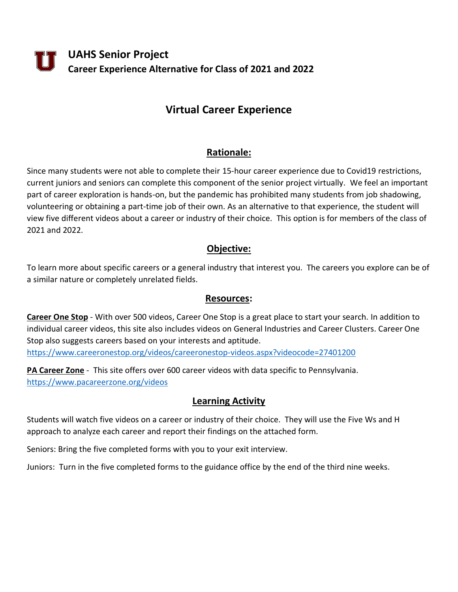**UAHS Senior Project Career Experience Alternative for Class of 2021 and 2022**

# **Virtual Career Experience**

# **Rationale:**

Since many students were not able to complete their 15-hour career experience due to Covid19 restrictions, current juniors and seniors can complete this component of the senior project virtually. We feel an important part of career exploration is hands-on, but the pandemic has prohibited many students from job shadowing, volunteering or obtaining a part-time job of their own. As an alternative to that experience, the student will view five different videos about a career or industry of their choice. This option is for members of the class of 2021 and 2022.

# **Objective:**

To learn more about specific careers or a general industry that interest you. The careers you explore can be of a similar nature or completely unrelated fields.

#### **Resources:**

**Career One Stop** - With over 500 videos, Career One Stop is a great place to start your search. In addition to individual career videos, this site also includes videos on General Industries and Career Clusters. Career One Stop also suggests careers based on your interests and aptitude. <https://www.careeronestop.org/videos/careeronestop-videos.aspx?videocode=27401200>

**PA Career Zone** - This site offers over 600 career videos with data specific to Pennsylvania. <https://www.pacareerzone.org/videos>

### **Learning Activity**

Students will watch five videos on a career or industry of their choice. They will use the Five Ws and H approach to analyze each career and report their findings on the attached form.

Seniors: Bring the five completed forms with you to your exit interview.

Juniors: Turn in the five completed forms to the guidance office by the end of the third nine weeks.